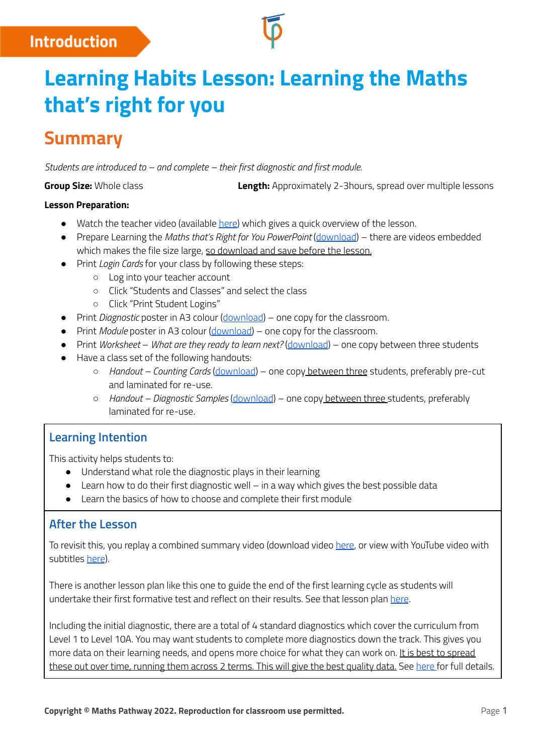## **Introduction**

# **Learning Habits Lesson: Learning the Maths that's right for you**

# **Summary**

*Students are introduced to – and complete – their first diagnostic and first module.*

**Group Size:** Whole class **Length:** Approximately 2-3hours, spread over multiple lessons

#### **Lesson Preparation:**

- Watch the teacher video (available [here\)](http://mpcontent.blob.core.windows.net/public/Learning%20the%20Maths%20that) which gives a quick overview of the lesson.
- Prepare Learning the *Maths that's Right for You PowerPoint* ([download\)](https://mpcontent.blob.core.windows.net/public/Learning%20the%20Maths%20that) there are videos embedded which makes the file size large, so download and save before the lesson.
- Print *Login Cards* for your class by following these steps:
	- Log into your teacher account
	- Click "Students and Classes" and select the class
	- Click "Print Student Logins"
- Print *Diagnostic* poster in A3 colour ([download\)](http://mpcontent.blob.core.windows.net/public/Poster-Diagnostic.pdf) one copy for the classroom.
- Print *Module* poster in A3 colour ([download](http://mpcontent.blob.core.windows.net/public/Poster-Module.pdf)) one copy for the classroom.
- Print *Worksheet What are they ready to learn next?* [\(download](http://mpcontent.blob.core.windows.net/public/Worksheet%20-%20What%20are%20they%20ready%20to%20learn%20next.pdf)) one copy between three students
- Have a class set of the following handouts:
	- *Handout – Counting Cards* [\(download](http://mpcontent.blob.core.windows.net/public/Handout%20-%20Counting%20Cards.pdf)) one copy between three students, preferably pre-cut and laminated for re-use.
	- *Handout – Diagnostic Samples* [\(download](http://mpcontent.blob.core.windows.net/public/Handout%20-%20Diagnostic%20Samples.pdf)) one copy between three students, preferably laminated for re-use.

## **Learning Intention**

This activity helps students to:

- Understand what role the diagnostic plays in their learning
- Learn how to do their first diagnostic well in a way which gives the best possible data
- Learn the basics of how to choose and complete their first module

### **After the Lesson**

To revisit this, you replay a combined summary video (download video [here](http://mpcontent.blob.core.windows.net/public/Learning%20the%20Maths%20that), or view with YouTube video with subtitles [here](https://www.youtube.com/watch?v=DpArCf2TQT0)).

There is another lesson plan like this one to guide the end of the first learning cycle as students will undertake their first formative test and reflect on their results. See that lesson plan [here](http://mpcontent.blob.core.windows.net/public/Lesson%20Plan%20-%20Demonstrating%20Your%20Learning.pdf).

Including the initial diagnostic, there are a total of 4 standard diagnostics which cover the curriculum from Level 1 to Level 10A. You may want students to complete more diagnostics down the track. This gives you more data on their learning needs, and opens more choice for what they can work on. It is best to spread these out over time, running them across 2 terms. This will give the best quality data. See [here](https://help.mathspathway.com/hc/en-us/sections/204800428-Diagnostics) for full details.